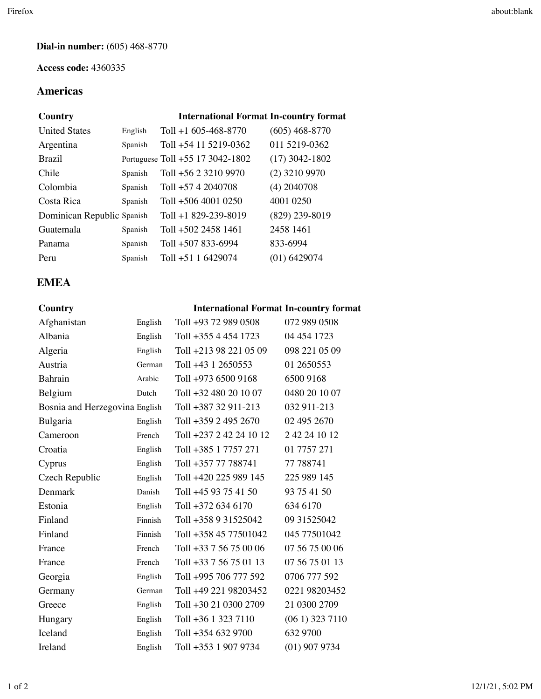#### **Dial-in number:** (605) 468-8770

#### **Access code:** 4360335

## **Americas**

| Country                    |         | <b>International Format In-country format</b> |                  |
|----------------------------|---------|-----------------------------------------------|------------------|
| <b>United States</b>       | English | Toll $+1$ 605-468-8770                        | $(605)$ 468-8770 |
| Argentina                  | Spanish | Toll +54 11 5219-0362                         | 011 5219-0362    |
| <b>Brazil</b>              |         | Portuguese Toll +55 17 3042-1802              | $(17)$ 3042-1802 |
| Chile                      | Spanish | Toll +56 2 3210 9970                          | $(2)$ 3210 9970  |
| Colombia                   | Spanish | Toll $+57$ 4 2040708                          | $(4)$ 2040708    |
| Costa Rica                 | Spanish | $T_0$ 11 +506 4001 0250                       | 4001 0250        |
| Dominican Republic Spanish |         | Toll $+1829-239-8019$                         | $(829)$ 239-8019 |
| Guatemala                  | Spanish | Toll $+502$ 2458 1461                         | 2458 1461        |
| Panama                     | Spanish | Toll +507 833-6994                            | 833-6994         |
| Peru                       | Spanish | Toll +51 1 6429074                            | $(01)$ 6429074   |

## **EMEA**

#### **Country International Format In-country format**

| English | Toll +93 72 989 0508           | 072 989 0508     |
|---------|--------------------------------|------------------|
| English | Toll +355 4 454 1723           | 04 454 1723      |
| English | Toll +213 98 221 05 09         | 098 221 05 09    |
| German  | Toll +43 1 2650553             | 01 2650553       |
| Arabic  | Toll +973 6500 9168            | 6500 9168        |
| Dutch   | Toll +32 480 20 10 07          | 0480 20 10 07    |
|         | Toll +387 32 911-213           | 032 911-213      |
| English | Toll +359 2 495 2670           | 02 495 2670      |
| French  | Toll +237 2 42 24 10 12        | 2 42 24 10 12    |
| English | Toll +385 1 7757 271           | 01 7757 271      |
| English | Toll +357 77 788741            | 77 788741        |
| English | Toll +420 225 989 145          | 225 989 145      |
| Danish  | Toll +45 93 75 41 50           | 93 75 41 50      |
| English | Toll +372 634 6170             | 634 6170         |
| Finnish | Toll +358 9 31525042           | 09 31525042      |
| Finnish | Toll +358 45 77501042          | 045 77501042     |
| French  | Toll +33 7 56 75 00 06         | 07 56 75 00 06   |
| French  | Toll +33 7 56 75 01 13         | 07 56 75 01 13   |
| English | Toll +995 706 777 592          | 0706 777 592     |
| German  | Toll +49 221 98203452          | 0221 98203452    |
| English | Toll +30 21 0300 2709          | 21 0300 2709     |
|         |                                |                  |
| English | Toll +36 1 323 7110            | $(061)$ 323 7110 |
| English | Toll +354 632 9700             | 632 9700         |
|         | Bosnia and Herzegovina English |                  |